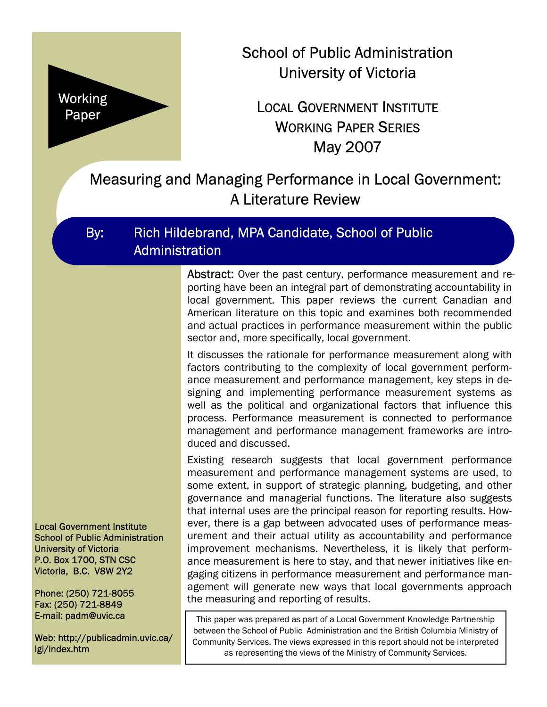

School of Public Administration University of Victoria

# LOCAL GOVERNMENT INSTITUTE WORKING PAPER SERIES May 2007

# Measuring and Managing Performance in Local Government: A Literature Review

## By: Rich Hildebrand, MPA Candidate, School of Public **Administration**

Abstract: Over the past century, performance measurement and reporting have been an integral part of demonstrating accountability in local government. This paper reviews the current Canadian and American literature on this topic and examines both recommended and actual practices in performance measurement within the public sector and, more specifically, local government.

It discusses the rationale for performance measurement along with factors contributing to the complexity of local government performance measurement and performance management, key steps in designing and implementing performance measurement systems as well as the political and organizational factors that influence this process. Performance measurement is connected to performance management and performance management frameworks are introduced and discussed.

Existing research suggests that local government performance measurement and performance management systems are used, to some extent, in support of strategic planning, budgeting, and other governance and managerial functions. The literature also suggests that internal uses are the principal reason for reporting results. However, there is a gap between advocated uses of performance measurement and their actual utility as accountability and performance improvement mechanisms. Nevertheless, it is likely that performance measurement is here to stay, and that newer initiatives like engaging citizens in performance measurement and performance management will generate new ways that local governments approach the measuring and reporting of results.

This paper was prepared as part of a Local Government Knowledge Partnership between the School of Public Administration and the British Columbia Ministry of Community Services. The views expressed in this report should not be interpreted as representing the views of the Ministry of Community Services.

Local Government Institute School of Public Administration University of Victoria P.O. Box 1700, STN CSC Victoria, B.C. V8W 2Y2

Phone: (250) 721-8055 Fax: (250) 721-8849 E-mail: padm@uvic.ca

Web: http://publicadmin.uvic.ca/ lgi/index.htm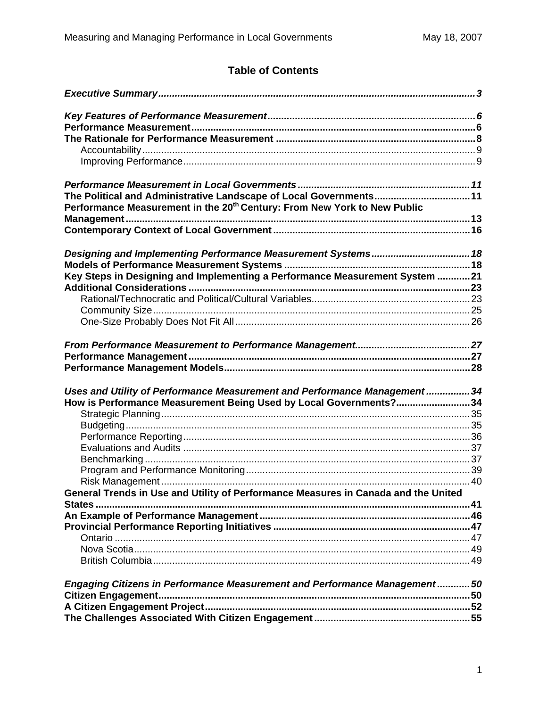## **Table of Contents**

| The Political and Administrative Landscape of Local Governments 11                   |  |
|--------------------------------------------------------------------------------------|--|
| Performance Measurement in the 20 <sup>th</sup> Century: From New York to New Public |  |
|                                                                                      |  |
|                                                                                      |  |
|                                                                                      |  |
|                                                                                      |  |
| Key Steps in Designing and Implementing a Performance Measurement System 21          |  |
|                                                                                      |  |
|                                                                                      |  |
|                                                                                      |  |
|                                                                                      |  |
|                                                                                      |  |
|                                                                                      |  |
| Uses and Utility of Performance Measurement and Performance Management34             |  |
| How is Performance Measurement Being Used by Local Governments?34                    |  |
|                                                                                      |  |
|                                                                                      |  |
|                                                                                      |  |
|                                                                                      |  |
|                                                                                      |  |
|                                                                                      |  |
| General Trends in Use and Utility of Performance Measures in Canada and the United   |  |
| States                                                                               |  |
|                                                                                      |  |
|                                                                                      |  |
|                                                                                      |  |
|                                                                                      |  |
|                                                                                      |  |
| Engaging Citizens in Performance Measurement and Performance Management50            |  |
|                                                                                      |  |
|                                                                                      |  |
|                                                                                      |  |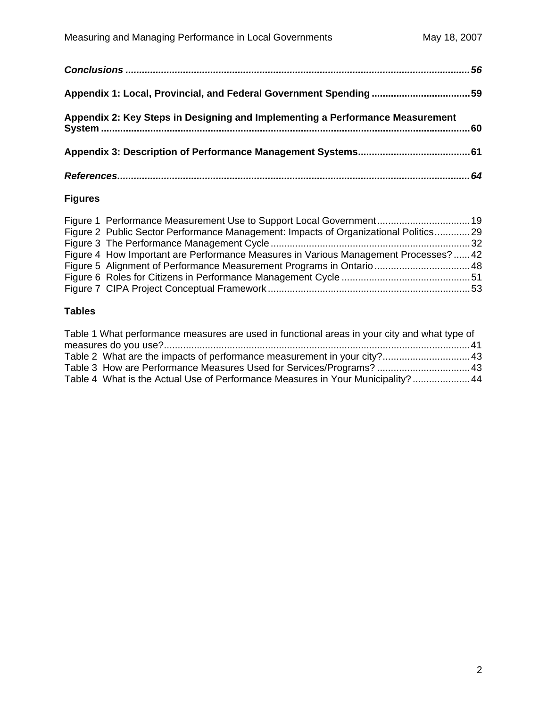| Appendix 2: Key Steps in Designing and Implementing a Performance Measurement |  |
|-------------------------------------------------------------------------------|--|
|                                                                               |  |
|                                                                               |  |

#### **Figures**

| Figure 2 Public Sector Performance Management: Impacts of Organizational Politics29  |  |
|--------------------------------------------------------------------------------------|--|
|                                                                                      |  |
| Figure 4 How Important are Performance Measures in Various Management Processes?  42 |  |
| Figure 5 Alignment of Performance Measurement Programs in Ontario  48                |  |
|                                                                                      |  |
|                                                                                      |  |

### **Tables**

| Table 1 What performance measures are used in functional areas in your city and what type of |  |
|----------------------------------------------------------------------------------------------|--|
|                                                                                              |  |
| Table 2 What are the impacts of performance measurement in your city? 43                     |  |
| Table 3 How are Performance Measures Used for Services/Programs?  43                         |  |
| Table 4 What is the Actual Use of Performance Measures in Your Municipality? 44              |  |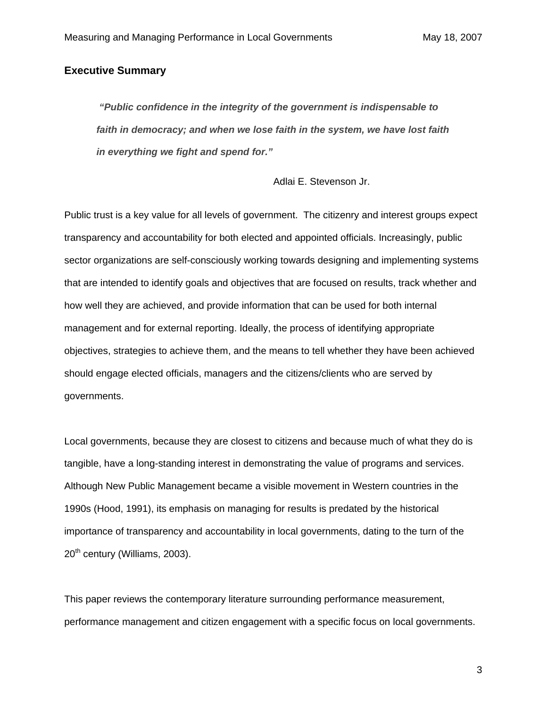#### <span id="page-3-0"></span>**Executive Summary**

 *"Public confidence in the integrity of the government is indispensable to faith in democracy; and when we lose faith in the system, we have lost faith in everything we fight and spend for."* 

Adlai E. Stevenson Jr.

Public trust is a key value for all levels of government. The citizenry and interest groups expect transparency and accountability for both elected and appointed officials. Increasingly, public sector organizations are self-consciously working towards designing and implementing systems that are intended to identify goals and objectives that are focused on results, track whether and how well they are achieved, and provide information that can be used for both internal management and for external reporting. Ideally, the process of identifying appropriate objectives, strategies to achieve them, and the means to tell whether they have been achieved should engage elected officials, managers and the citizens/clients who are served by governments.

Local governments, because they are closest to citizens and because much of what they do is tangible, have a long-standing interest in demonstrating the value of programs and services. Although New Public Management became a visible movement in Western countries in the 1990s (Hood, 1991), its emphasis on managing for results is predated by the historical importance of transparency and accountability in local governments, dating to the turn of the 20<sup>th</sup> century (Williams, 2003).

This paper reviews the contemporary literature surrounding performance measurement, performance management and citizen engagement with a specific focus on local governments.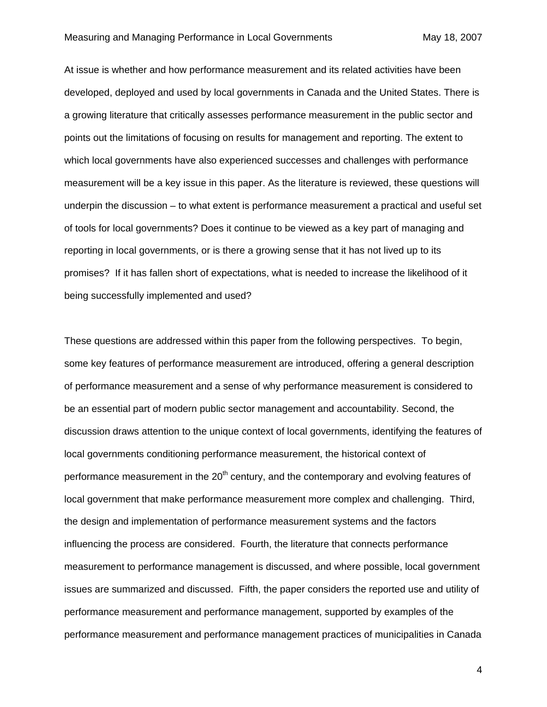#### Measuring and Managing Performance in Local Governments May 18, 2007

At issue is whether and how performance measurement and its related activities have been developed, deployed and used by local governments in Canada and the United States. There is a growing literature that critically assesses performance measurement in the public sector and points out the limitations of focusing on results for management and reporting. The extent to which local governments have also experienced successes and challenges with performance measurement will be a key issue in this paper. As the literature is reviewed, these questions will underpin the discussion – to what extent is performance measurement a practical and useful set of tools for local governments? Does it continue to be viewed as a key part of managing and reporting in local governments, or is there a growing sense that it has not lived up to its promises? If it has fallen short of expectations, what is needed to increase the likelihood of it being successfully implemented and used?

These questions are addressed within this paper from the following perspectives. To begin, some key features of performance measurement are introduced, offering a general description of performance measurement and a sense of why performance measurement is considered to be an essential part of modern public sector management and accountability. Second, the discussion draws attention to the unique context of local governments, identifying the features of local governments conditioning performance measurement, the historical context of performance measurement in the  $20<sup>th</sup>$  century, and the contemporary and evolving features of local government that make performance measurement more complex and challenging. Third, the design and implementation of performance measurement systems and the factors influencing the process are considered. Fourth, the literature that connects performance measurement to performance management is discussed, and where possible, local government issues are summarized and discussed. Fifth, the paper considers the reported use and utility of performance measurement and performance management, supported by examples of the performance measurement and performance management practices of municipalities in Canada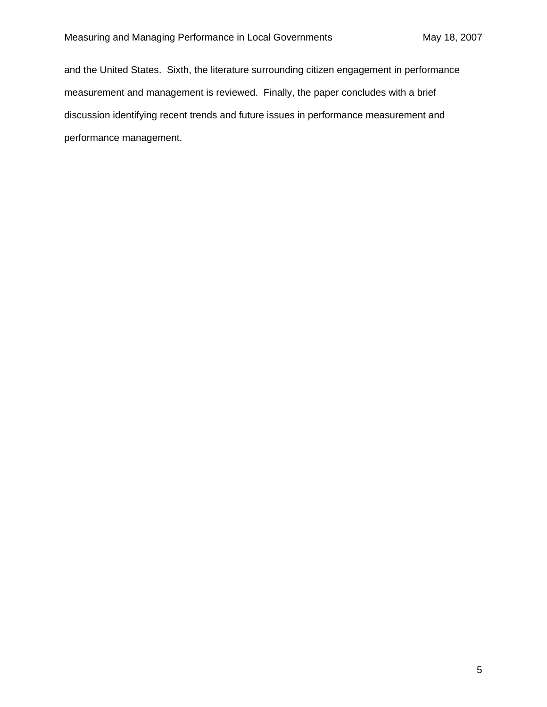and the United States. Sixth, the literature surrounding citizen engagement in performance measurement and management is reviewed. Finally, the paper concludes with a brief discussion identifying recent trends and future issues in performance measurement and performance management.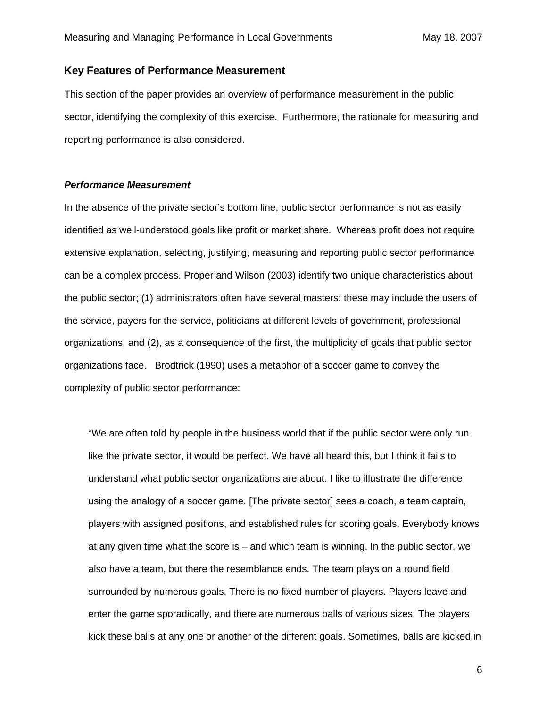#### <span id="page-6-0"></span>**Key Features of Performance Measurement**

This section of the paper provides an overview of performance measurement in the public sector, identifying the complexity of this exercise. Furthermore, the rationale for measuring and reporting performance is also considered.

#### *Performance Measurement*

In the absence of the private sector's bottom line, public sector performance is not as easily identified as well-understood goals like profit or market share. Whereas profit does not require extensive explanation, selecting, justifying, measuring and reporting public sector performance can be a complex process. Proper and Wilson (2003) identify two unique characteristics about the public sector; (1) administrators often have several masters: these may include the users of the service, payers for the service, politicians at different levels of government, professional organizations, and (2), as a consequence of the first, the multiplicity of goals that public sector organizations face. Brodtrick (1990) uses a metaphor of a soccer game to convey the complexity of public sector performance:

"We are often told by people in the business world that if the public sector were only run like the private sector, it would be perfect. We have all heard this, but I think it fails to understand what public sector organizations are about. I like to illustrate the difference using the analogy of a soccer game. [The private sector] sees a coach, a team captain, players with assigned positions, and established rules for scoring goals. Everybody knows at any given time what the score is – and which team is winning. In the public sector, we also have a team, but there the resemblance ends. The team plays on a round field surrounded by numerous goals. There is no fixed number of players. Players leave and enter the game sporadically, and there are numerous balls of various sizes. The players kick these balls at any one or another of the different goals. Sometimes, balls are kicked in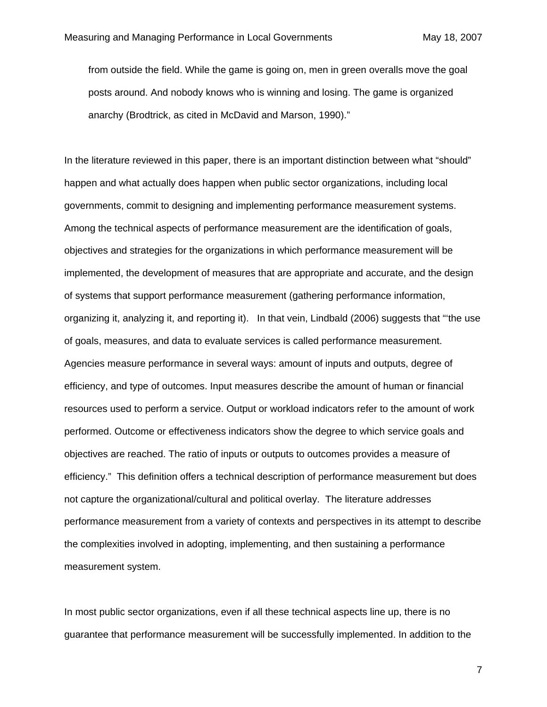from outside the field. While the game is going on, men in green overalls move the goal posts around. And nobody knows who is winning and losing. The game is organized anarchy (Brodtrick, as cited in McDavid and Marson, 1990)."

In the literature reviewed in this paper, there is an important distinction between what "should" happen and what actually does happen when public sector organizations, including local governments, commit to designing and implementing performance measurement systems. Among the technical aspects of performance measurement are the identification of goals, objectives and strategies for the organizations in which performance measurement will be implemented, the development of measures that are appropriate and accurate, and the design of systems that support performance measurement (gathering performance information, organizing it, analyzing it, and reporting it). In that vein, Lindbald (2006) suggests that "'the use of goals, measures, and data to evaluate services is called performance measurement. Agencies measure performance in several ways: amount of inputs and outputs, degree of efficiency, and type of outcomes. Input measures describe the amount of human or financial resources used to perform a service. Output or workload indicators refer to the amount of work performed. Outcome or effectiveness indicators show the degree to which service goals and objectives are reached. The ratio of inputs or outputs to outcomes provides a measure of efficiency." This definition offers a technical description of performance measurement but does not capture the organizational/cultural and political overlay. The literature addresses performance measurement from a variety of contexts and perspectives in its attempt to describe the complexities involved in adopting, implementing, and then sustaining a performance measurement system.

In most public sector organizations, even if all these technical aspects line up, there is no guarantee that performance measurement will be successfully implemented. In addition to the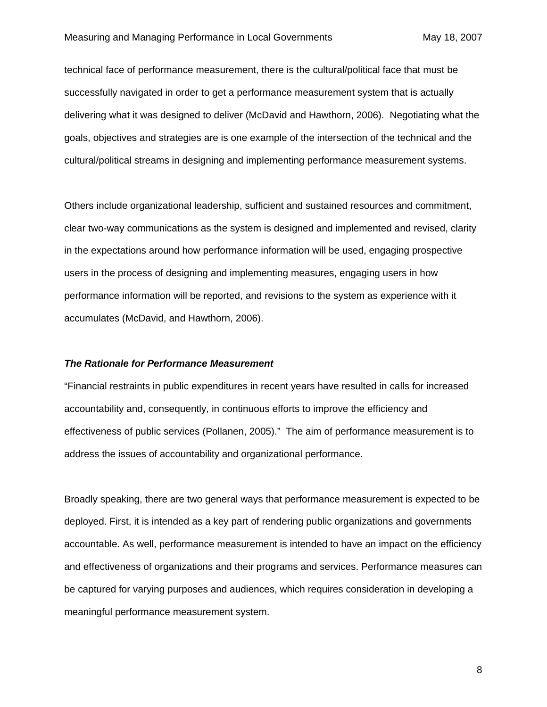<span id="page-8-0"></span>technical face of performance measurement, there is the cultural/political face that must be successfully navigated in order to get a performance measurement system that is actually delivering what it was designed to deliver (McDavid and Hawthorn, 2006). Negotiating what the goals, objectives and strategies are is one example of the intersection of the technical and the cultural/political streams in designing and implementing performance measurement systems.

Others include organizational leadership, sufficient and sustained resources and commitment, clear two-way communications as the system is designed and implemented and revised, clarity in the expectations around how performance information will be used, engaging prospective users in the process of designing and implementing measures, engaging users in how performance information will be reported, and revisions to the system as experience with it accumulates (McDavid, and Hawthorn, 2006).

#### *The Rationale for Performance Measurement*

"Financial restraints in public expenditures in recent years have resulted in calls for increased accountability and, consequently, in continuous efforts to improve the efficiency and effectiveness of public services (Pollanen, 2005)." The aim of performance measurement is to address the issues of accountability and organizational performance.

Broadly speaking, there are two general ways that performance measurement is expected to be deployed. First, it is intended as a key part of rendering public organizations and governments accountable. As well, performance measurement is intended to have an impact on the efficiency and effectiveness of organizations and their programs and services. Performance measures can be captured for varying purposes and audiences, which requires consideration in developing a meaningful performance measurement system.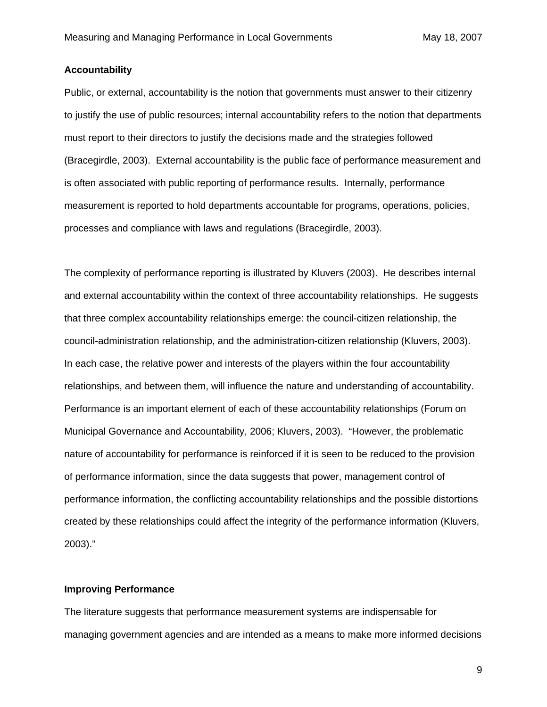#### <span id="page-9-0"></span>**Accountability**

Public, or external, accountability is the notion that governments must answer to their citizenry to justify the use of public resources; internal accountability refers to the notion that departments must report to their directors to justify the decisions made and the strategies followed (Bracegirdle, 2003). External accountability is the public face of performance measurement and is often associated with public reporting of performance results. Internally, performance measurement is reported to hold departments accountable for programs, operations, policies, processes and compliance with laws and regulations (Bracegirdle, 2003).

The complexity of performance reporting is illustrated by Kluvers (2003). He describes internal and external accountability within the context of three accountability relationships. He suggests that three complex accountability relationships emerge: the council-citizen relationship, the council-administration relationship, and the administration-citizen relationship (Kluvers, 2003). In each case, the relative power and interests of the players within the four accountability relationships, and between them, will influence the nature and understanding of accountability. Performance is an important element of each of these accountability relationships (Forum on Municipal Governance and Accountability, 2006; Kluvers, 2003). "However, the problematic nature of accountability for performance is reinforced if it is seen to be reduced to the provision of performance information, since the data suggests that power, management control of performance information, the conflicting accountability relationships and the possible distortions created by these relationships could affect the integrity of the performance information (Kluvers, 2003)."

#### **Improving Performance**

The literature suggests that performance measurement systems are indispensable for managing government agencies and are intended as a means to make more informed decisions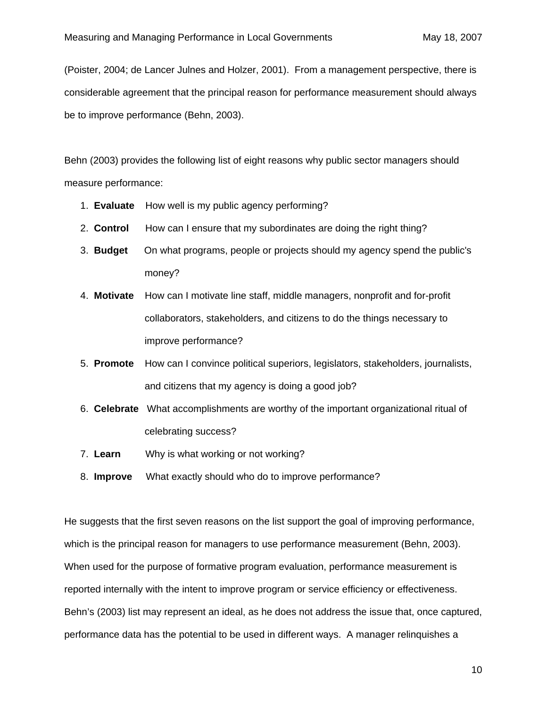(Poister, 2004; de Lancer Julnes and Holzer, 2001). From a management perspective, there is considerable agreement that the principal reason for performance measurement should always be to improve performance (Behn, 2003).

Behn (2003) provides the following list of eight reasons why public sector managers should measure performance:

- 1. **Evaluate** How well is my public agency performing?
- 2. **Control** How can I ensure that my subordinates are doing the right thing?
- 3. **Budget** On what programs, people or projects should my agency spend the public's money?
- 4. **Motivate** How can I motivate line staff, middle managers, nonprofit and for-profit collaborators, stakeholders, and citizens to do the things necessary to improve performance?
- 5. **Promote** How can I convince political superiors, legislators, stakeholders, journalists, and citizens that my agency is doing a good job?
- 6. **Celebrate** What accomplishments are worthy of the important organizational ritual of celebrating success?
- 7. **Learn** Why is what working or not working?
- 8. **Improve** What exactly should who do to improve performance?

He suggests that the first seven reasons on the list support the goal of improving performance, which is the principal reason for managers to use performance measurement (Behn, 2003). When used for the purpose of formative program evaluation, performance measurement is reported internally with the intent to improve program or service efficiency or effectiveness. Behn's (2003) list may represent an ideal, as he does not address the issue that, once captured, performance data has the potential to be used in different ways. A manager relinquishes a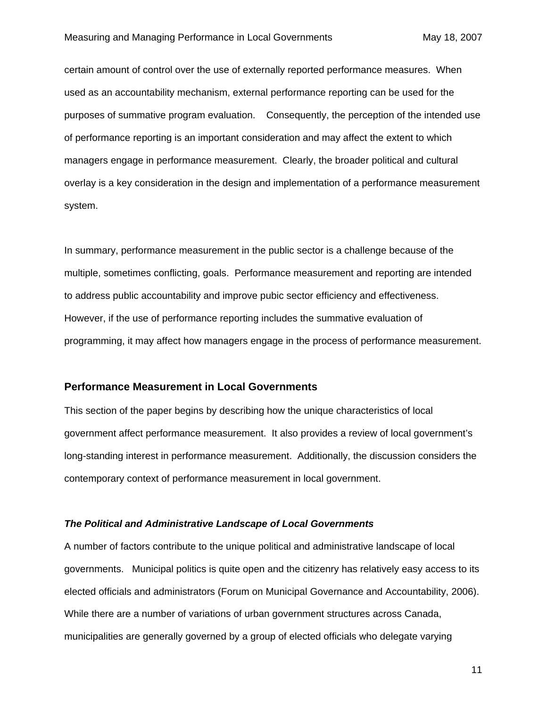<span id="page-11-0"></span>certain amount of control over the use of externally reported performance measures. When used as an accountability mechanism, external performance reporting can be used for the purposes of summative program evaluation. Consequently, the perception of the intended use of performance reporting is an important consideration and may affect the extent to which managers engage in performance measurement. Clearly, the broader political and cultural overlay is a key consideration in the design and implementation of a performance measurement system.

In summary, performance measurement in the public sector is a challenge because of the multiple, sometimes conflicting, goals. Performance measurement and reporting are intended to address public accountability and improve pubic sector efficiency and effectiveness. However, if the use of performance reporting includes the summative evaluation of programming, it may affect how managers engage in the process of performance measurement.

#### **Performance Measurement in Local Governments**

This section of the paper begins by describing how the unique characteristics of local government affect performance measurement. It also provides a review of local government's long-standing interest in performance measurement. Additionally, the discussion considers the contemporary context of performance measurement in local government.

#### *The Political and Administrative Landscape of Local Governments*

A number of factors contribute to the unique political and administrative landscape of local governments. Municipal politics is quite open and the citizenry has relatively easy access to its elected officials and administrators (Forum on Municipal Governance and Accountability, 2006). While there are a number of variations of urban government structures across Canada, municipalities are generally governed by a group of elected officials who delegate varying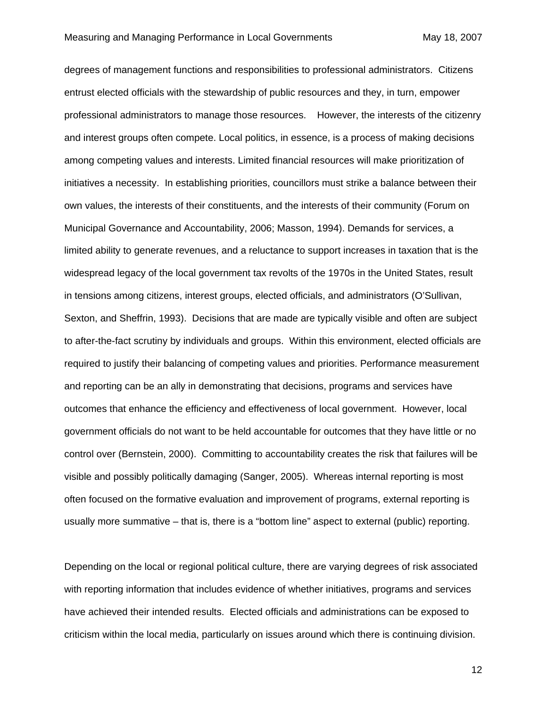degrees of management functions and responsibilities to professional administrators. Citizens entrust elected officials with the stewardship of public resources and they, in turn, empower professional administrators to manage those resources. However, the interests of the citizenry and interest groups often compete. Local politics, in essence, is a process of making decisions among competing values and interests. Limited financial resources will make prioritization of initiatives a necessity. In establishing priorities, councillors must strike a balance between their own values, the interests of their constituents, and the interests of their community (Forum on Municipal Governance and Accountability, 2006; Masson, 1994). Demands for services, a limited ability to generate revenues, and a reluctance to support increases in taxation that is the widespread legacy of the local government tax revolts of the 1970s in the United States, result in tensions among citizens, interest groups, elected officials, and administrators (O'Sullivan, Sexton, and Sheffrin, 1993). Decisions that are made are typically visible and often are subject to after-the-fact scrutiny by individuals and groups. Within this environment, elected officials are required to justify their balancing of competing values and priorities. Performance measurement and reporting can be an ally in demonstrating that decisions, programs and services have outcomes that enhance the efficiency and effectiveness of local government. However, local government officials do not want to be held accountable for outcomes that they have little or no control over (Bernstein, 2000). Committing to accountability creates the risk that failures will be visible and possibly politically damaging (Sanger, 2005). Whereas internal reporting is most often focused on the formative evaluation and improvement of programs, external reporting is usually more summative – that is, there is a "bottom line" aspect to external (public) reporting.

Depending on the local or regional political culture, there are varying degrees of risk associated with reporting information that includes evidence of whether initiatives, programs and services have achieved their intended results. Elected officials and administrations can be exposed to criticism within the local media, particularly on issues around which there is continuing division.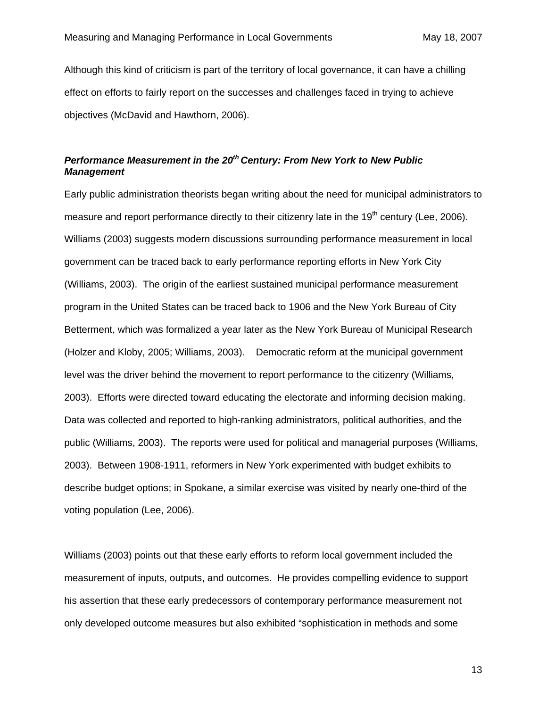<span id="page-13-0"></span>Although this kind of criticism is part of the territory of local governance, it can have a chilling effect on efforts to fairly report on the successes and challenges faced in trying to achieve objectives (McDavid and Hawthorn, 2006).

#### *Performance Measurement in the 20th Century: From New York to New Public Management*

Early public administration theorists began writing about the need for municipal administrators to measure and report performance directly to their citizenry late in the  $19<sup>th</sup>$  century (Lee, 2006). Williams (2003) suggests modern discussions surrounding performance measurement in local government can be traced back to early performance reporting efforts in New York City (Williams, 2003). The origin of the earliest sustained municipal performance measurement program in the United States can be traced back to 1906 and the New York Bureau of City Betterment, which was formalized a year later as the New York Bureau of Municipal Research (Holzer and Kloby, 2005; Williams, 2003). Democratic reform at the municipal government level was the driver behind the movement to report performance to the citizenry (Williams, 2003). Efforts were directed toward educating the electorate and informing decision making. Data was collected and reported to high-ranking administrators, political authorities, and the public (Williams, 2003). The reports were used for political and managerial purposes (Williams, 2003). Between 1908-1911, reformers in New York experimented with budget exhibits to describe budget options; in Spokane, a similar exercise was visited by nearly one-third of the voting population (Lee, 2006).

Williams (2003) points out that these early efforts to reform local government included the measurement of inputs, outputs, and outcomes. He provides compelling evidence to support his assertion that these early predecessors of contemporary performance measurement not only developed outcome measures but also exhibited "sophistication in methods and some